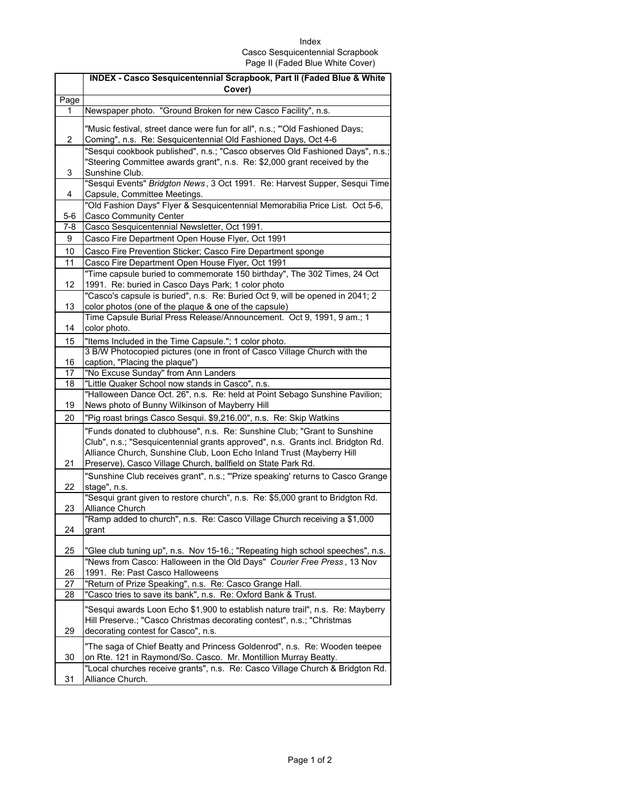## Index Casco Sesquicentennial Scrapbook Page II (Faded Blue White Cover)

|           | INDEX - Casco Sesquicentennial Scrapbook, Part II (Faded Blue & White                                                                                                                                                                                                                                |
|-----------|------------------------------------------------------------------------------------------------------------------------------------------------------------------------------------------------------------------------------------------------------------------------------------------------------|
|           | Cover)                                                                                                                                                                                                                                                                                               |
| Page<br>1 | Newspaper photo. "Ground Broken for new Casco Facility", n.s.                                                                                                                                                                                                                                        |
|           |                                                                                                                                                                                                                                                                                                      |
| 2         | "Music festival, street dance were fun for all", n.s.; "'Old Fashioned Days;<br>Coming", n.s. Re: Sesquicentennial Old Fashioned Days, Oct 4-6                                                                                                                                                       |
|           | "Sesqui cookbook published", n.s.; "Casco observes Old Fashioned Days", n.s.;                                                                                                                                                                                                                        |
| 3         | "Steering Committee awards grant", n.s. Re: \$2,000 grant received by the<br>Sunshine Club.                                                                                                                                                                                                          |
| 4         | "Sesqui Events" Bridgton News, 3 Oct 1991. Re: Harvest Supper, Sesqui Time<br>Capsule, Committee Meetings.                                                                                                                                                                                           |
| $5-6$     | "Old Fashion Days" Flyer & Sesquicentennial Memorabilia Price List. Oct 5-6,<br><b>Casco Community Center</b>                                                                                                                                                                                        |
| $7 - 8$   | Casco Sesquicentennial Newsletter, Oct 1991.                                                                                                                                                                                                                                                         |
| 9         | Casco Fire Department Open House Flyer, Oct 1991                                                                                                                                                                                                                                                     |
| 10        | Casco Fire Prevention Sticker; Casco Fire Department sponge                                                                                                                                                                                                                                          |
| 11        | Casco Fire Department Open House Flyer, Oct 1991                                                                                                                                                                                                                                                     |
|           | "Time capsule buried to commemorate 150 birthday", The 302 Times, 24 Oct                                                                                                                                                                                                                             |
| 12        | 1991. Re: buried in Casco Days Park; 1 color photo                                                                                                                                                                                                                                                   |
|           | "Casco's capsule is buried", n.s. Re: Buried Oct 9, will be opened in 2041; 2                                                                                                                                                                                                                        |
| 13        | color photos (one of the plaque & one of the capsule)                                                                                                                                                                                                                                                |
| 14        | Time Capsule Burial Press Release/Announcement. Oct 9, 1991, 9 am.; 1<br>color photo.                                                                                                                                                                                                                |
| 15        | "Items Included in the Time Capsule."; 1 color photo.                                                                                                                                                                                                                                                |
|           | 3 B/W Photocopied pictures (one in front of Casco Village Church with the                                                                                                                                                                                                                            |
| 16        | caption, "Placing the plaque")                                                                                                                                                                                                                                                                       |
| 17        | "No Excuse Sunday" from Ann Landers                                                                                                                                                                                                                                                                  |
| 18        | "Little Quaker School now stands in Casco", n.s.                                                                                                                                                                                                                                                     |
| 19        | "Halloween Dance Oct. 26", n.s. Re: held at Point Sebago Sunshine Pavilion;<br>News photo of Bunny Wilkinson of Mayberry Hill                                                                                                                                                                        |
| 20        | "Pig roast brings Casco Sesqui. \$9,216.00", n.s. Re: Skip Watkins                                                                                                                                                                                                                                   |
| 21        | "Funds donated to clubhouse", n.s. Re: Sunshine Club; "Grant to Sunshine<br>Club", n.s.; "Sesquicentennial grants approved", n.s. Grants incl. Bridgton Rd.<br>Alliance Church, Sunshine Club, Loon Echo Inland Trust (Mayberry Hill<br>Preserve), Casco Village Church, ballfield on State Park Rd. |
|           | "Sunshine Club receives grant", n.s.; "'Prize speaking' returns to Casco Grange                                                                                                                                                                                                                      |
| 22        | stage", n.s.<br>"Sesqui grant given to restore church", n.s. Re: \$5,000 grant to Bridgton Rd.                                                                                                                                                                                                       |
| 23        | Alliance Church                                                                                                                                                                                                                                                                                      |
| 24        | "Ramp added to church", n.s. Re: Casco Village Church receiving a \$1,000<br>grant                                                                                                                                                                                                                   |
| 25        | "Glee club tuning up", n.s. Nov 15-16.; "Repeating high school speeches", n.s.                                                                                                                                                                                                                       |
| 26        | "News from Casco: Halloween in the Old Days" Courier Free Press, 13 Nov<br>1991. Re: Past Casco Halloweens                                                                                                                                                                                           |
| 27        | "Return of Prize Speaking", n.s. Re: Casco Grange Hall.                                                                                                                                                                                                                                              |
| 28        | "Casco tries to save its bank", n.s. Re: Oxford Bank & Trust.                                                                                                                                                                                                                                        |
| 29        | "Sesqui awards Loon Echo \$1,900 to establish nature trail", n.s. Re: Mayberry<br>Hill Preserve.; "Casco Christmas decorating contest", n.s.; "Christmas<br>decorating contest for Casco", n.s.                                                                                                      |
| 30        | "The saga of Chief Beatty and Princess Goldenrod", n.s. Re: Wooden teepee<br>on Rte. 121 in Raymond/So. Casco. Mr. Montillion Murray Beatty.                                                                                                                                                         |
| 31        | "Local churches receive grants", n.s. Re: Casco Village Church & Bridgton Rd.<br>Alliance Church.                                                                                                                                                                                                    |